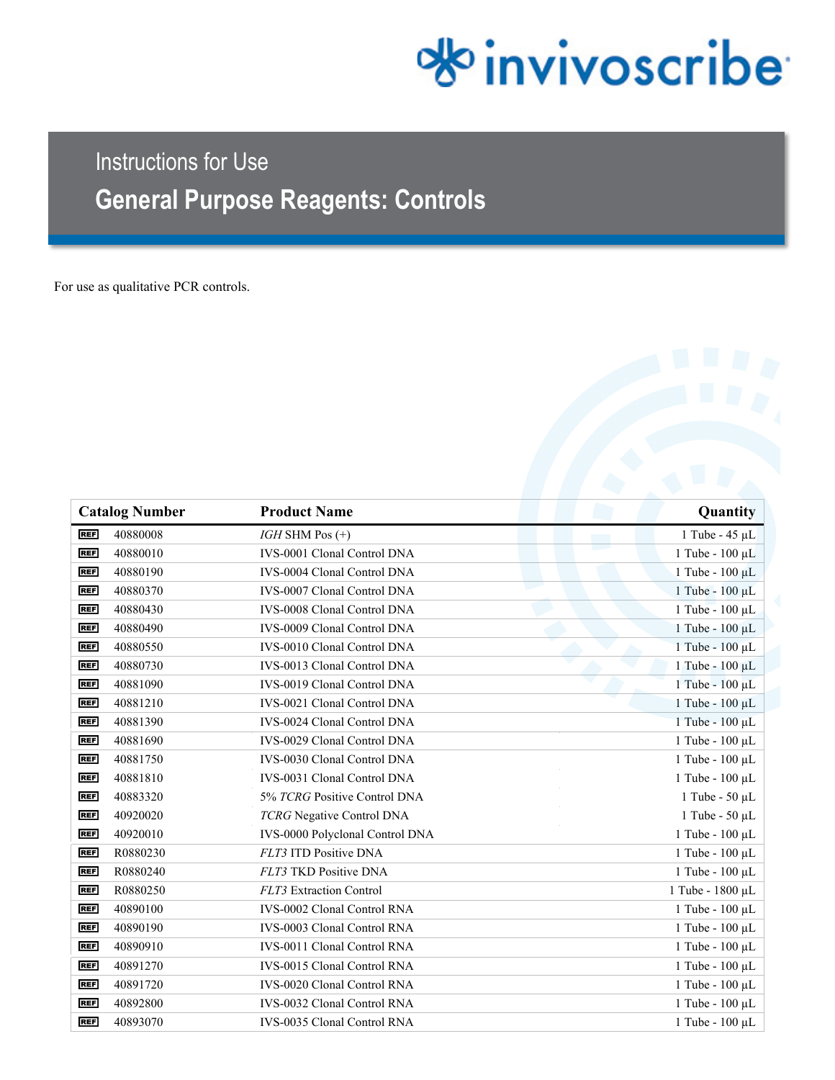# *<u>olo</u>* invivoscribe

# Instructions for Use **General Purpose Reagents: Controls**

For use as qualitative PCR controls.

| <b>Catalog Number</b>  | <b>Product Name</b>                | Quantity               |
|------------------------|------------------------------------|------------------------|
| 40880008<br><b>REF</b> | $IGH$ SHM Pos $(+)$                | 1 Tube - $45 \mu L$    |
| <b>REF</b><br>40880010 | IVS-0001 Clonal Control DNA        | 1 Tube - 100 µL        |
| <b>REF</b><br>40880190 | <b>IVS-0004 Clonal Control DNA</b> | 1 Tube - 100 µL        |
| <b>REF</b><br>40880370 | <b>IVS-0007 Clonal Control DNA</b> | 1 Tube - 100 µL        |
| <b>REF</b><br>40880430 | IVS-0008 Clonal Control DNA        | 1 Tube - 100 µL        |
| <b>REF</b><br>40880490 | <b>IVS-0009 Clonal Control DNA</b> | 1 Tube - 100 µL        |
| <b>REF</b><br>40880550 | <b>IVS-0010 Clonal Control DNA</b> | 1 Tube - 100 μL        |
| <b>REF</b><br>40880730 | IVS-0013 Clonal Control DNA        | 1 Tube - 100 μL        |
| 40881090<br><b>REF</b> | <b>IVS-0019 Clonal Control DNA</b> | $1$ Tube - $100 \mu L$ |
| 40881210<br><b>REF</b> | <b>IVS-0021 Clonal Control DNA</b> | 1 Tube - 100 µL        |
| <b>REF</b><br>40881390 | IVS-0024 Clonal Control DNA        | 1 Tube - 100 µL        |
| 40881690<br><b>REF</b> | <b>IVS-0029 Clonal Control DNA</b> | 1 Tube - 100 µL        |
| 40881750<br><b>REF</b> | <b>IVS-0030 Clonal Control DNA</b> | 1 Tube - 100 µL        |
| <b>REF</b><br>40881810 | IVS-0031 Clonal Control DNA        | 1 Tube - 100 µL        |
| <b>REF</b><br>40883320 | 5% TCRG Positive Control DNA       | 1 Tube - 50 µL         |
| <b>REF</b><br>40920020 | TCRG Negative Control DNA          | 1 Tube - 50 µL         |
| <b>REF</b><br>40920010 | IVS-0000 Polyclonal Control DNA    | 1 Tube - 100 µL        |
| <b>REF</b><br>R0880230 | <b>FLT3 ITD Positive DNA</b>       | 1 Tube - 100 µL        |
| <b>REF</b><br>R0880240 | FLT3 TKD Positive DNA              | 1 Tube - 100 µL        |
| <b>REF</b><br>R0880250 | FLT3 Extraction Control            | 1 Tube - 1800 µL       |
| <b>REF</b><br>40890100 | <b>IVS-0002 Clonal Control RNA</b> | 1 Tube - 100 µL        |
| <b>REF</b><br>40890190 | <b>IVS-0003 Clonal Control RNA</b> | $1$ Tube - $100 \mu L$ |
| <b>REF</b><br>40890910 | <b>IVS-0011 Clonal Control RNA</b> | 1 Tube - 100 µL        |
| <b>REF</b><br>40891270 | <b>IVS-0015 Clonal Control RNA</b> | 1 Tube - 100 µL        |
| 40891720<br><b>REF</b> | IVS-0020 Clonal Control RNA        | $1$ Tube - $100 \mu L$ |
| <b>REF</b><br>40892800 | <b>IVS-0032 Clonal Control RNA</b> | 1 Tube - 100 µL        |
| <b>REF</b><br>40893070 | <b>IVS-0035 Clonal Control RNA</b> | 1 Tube - 100 µL        |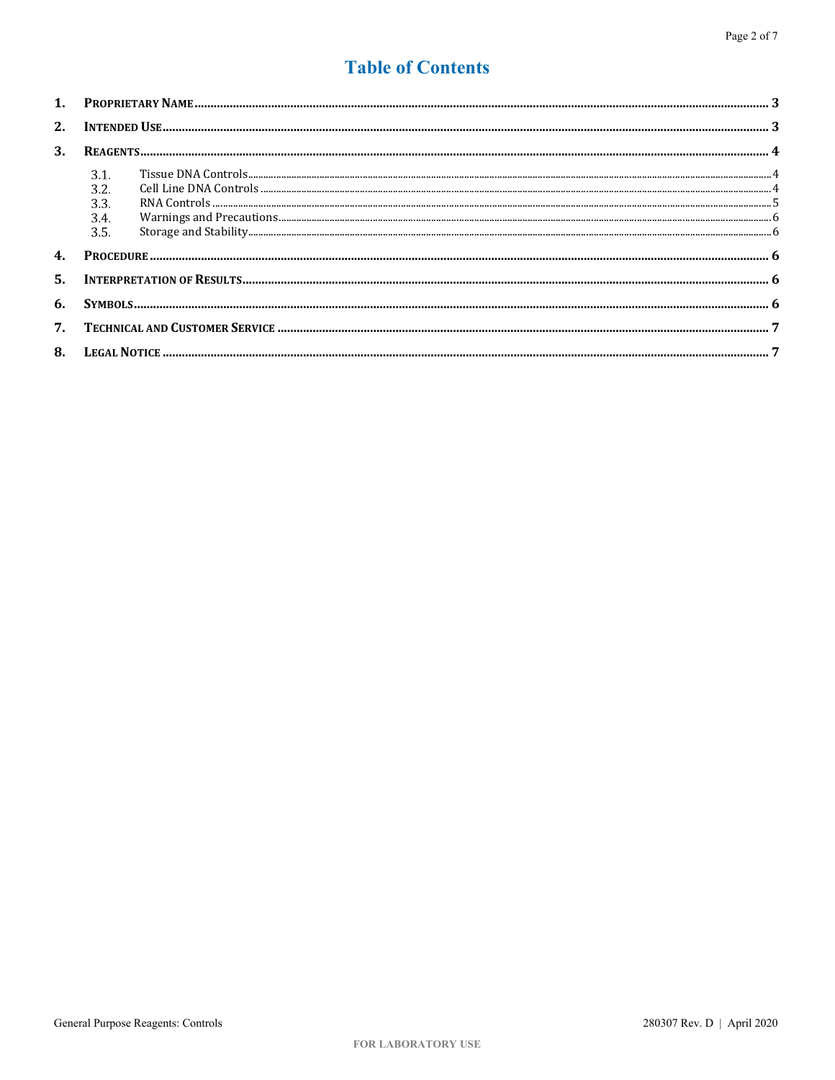# **Table of Contents**

| 2. |                                      |  |  |  |  |
|----|--------------------------------------|--|--|--|--|
| 3. |                                      |  |  |  |  |
|    | 3.1.<br>3.2.<br>3.3.<br>3.4.<br>3.5. |  |  |  |  |
|    |                                      |  |  |  |  |
| 5. |                                      |  |  |  |  |
| 6. |                                      |  |  |  |  |
| 7. |                                      |  |  |  |  |
| 8. |                                      |  |  |  |  |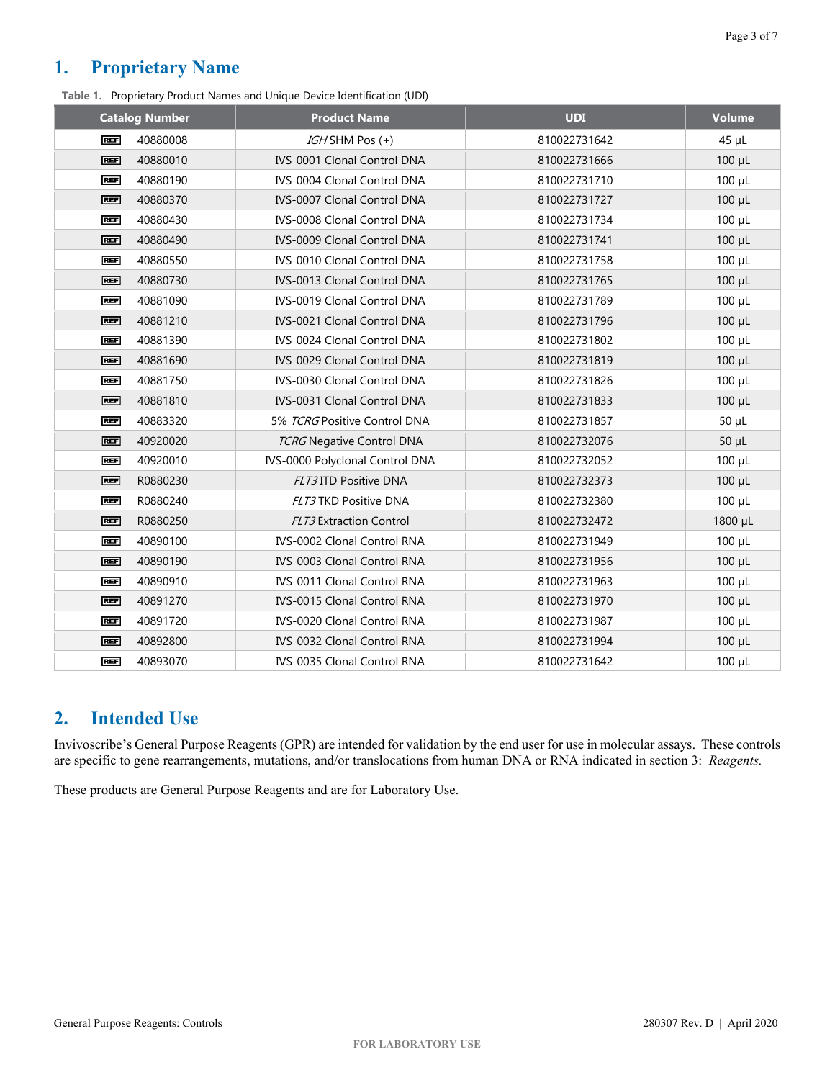# <span id="page-2-0"></span>**1. Proprietary Name**

**Table 1.** Proprietary Product Names and Unique Device Identification (UDI)

| <b>Catalog Number</b>  | <b>Product Name</b>                | <b>UDI</b>   | <b>Volume</b> |
|------------------------|------------------------------------|--------------|---------------|
| 40880008<br><b>REF</b> | IGHSHM Pos (+)                     | 810022731642 | $45 \mu L$    |
| 40880010<br><b>REF</b> | <b>IVS-0001 Clonal Control DNA</b> | 810022731666 | $100 \mu L$   |
| 40880190<br><b>REF</b> | <b>IVS-0004 Clonal Control DNA</b> | 810022731710 | $100 \mu L$   |
| <b>REF</b><br>40880370 | IVS-0007 Clonal Control DNA        | 810022731727 | $100 \mu L$   |
| <b>REF</b><br>40880430 | <b>IVS-0008 Clonal Control DNA</b> | 810022731734 | $100 \mu L$   |
| 40880490<br><b>REF</b> | IVS-0009 Clonal Control DNA        | 810022731741 | $100 \mu L$   |
| 40880550<br><b>REF</b> | IVS-0010 Clonal Control DNA        | 810022731758 | $100 \mu L$   |
| <b>REF</b><br>40880730 | <b>IVS-0013 Clonal Control DNA</b> | 810022731765 | 100 µL        |
| <b>REF</b><br>40881090 | <b>IVS-0019 Clonal Control DNA</b> | 810022731789 | $100 \mu L$   |
| 40881210<br><b>REF</b> | IVS-0021 Clonal Control DNA        | 810022731796 | $100 \mu L$   |
| 40881390<br><b>REF</b> | <b>IVS-0024 Clonal Control DNA</b> | 810022731802 | $100 \mu L$   |
| 40881690<br><b>REF</b> | IVS-0029 Clonal Control DNA        | 810022731819 | $100 \mu L$   |
| <b>REF</b><br>40881750 | <b>IVS-0030 Clonal Control DNA</b> | 810022731826 | $100 \mu L$   |
| <b>REF</b><br>40881810 | <b>IVS-0031 Clonal Control DNA</b> | 810022731833 | $100 \mu L$   |
| 40883320<br><b>REF</b> | 5% TCRG Positive Control DNA       | 810022731857 | $50 \mu L$    |
| 40920020<br><b>REF</b> | <b>TCRG</b> Negative Control DNA   | 810022732076 | $50 \mu L$    |
| 40920010<br><b>REF</b> | IVS-0000 Polyclonal Control DNA    | 810022732052 | $100 \mu L$   |
| R0880230<br><b>REF</b> | FLT3 ITD Positive DNA              | 810022732373 | $100 \mu L$   |
| R0880240<br><b>REF</b> | FLT3 TKD Positive DNA              | 810022732380 | $100 \mu L$   |
| <b>REF</b><br>R0880250 | <b>FLT3</b> Extraction Control     | 810022732472 | 1800 µL       |
| 40890100<br><b>REF</b> | IVS-0002 Clonal Control RNA        | 810022731949 | $100 \mu L$   |
| <b>REF</b><br>40890190 | <b>IVS-0003 Clonal Control RNA</b> | 810022731956 | $100 \mu L$   |
| <b>REF</b><br>40890910 | <b>IVS-0011 Clonal Control RNA</b> | 810022731963 | $100 \mu L$   |
| 40891270<br><b>REF</b> | IVS-0015 Clonal Control RNA        | 810022731970 | $100 \mu L$   |
| 40891720<br><b>REF</b> | <b>IVS-0020 Clonal Control RNA</b> | 810022731987 | $100 \mu L$   |
| 40892800<br><b>REF</b> | IVS-0032 Clonal Control RNA        | 810022731994 | $100 \mu L$   |
| <b>REF</b><br>40893070 | <b>IVS-0035 Clonal Control RNA</b> | 810022731642 | $100 \mu L$   |

# <span id="page-2-1"></span>**2. Intended Use**

Invivoscribe's General Purpose Reagents (GPR) are intended for validation by the end user for use in molecular assays. These controls are specific to gene rearrangements, mutations, and/or translocations from human DNA or RNA indicated in section [3:](#page-3-0) *Reagents.*

These products are General Purpose Reagents and are for Laboratory Use.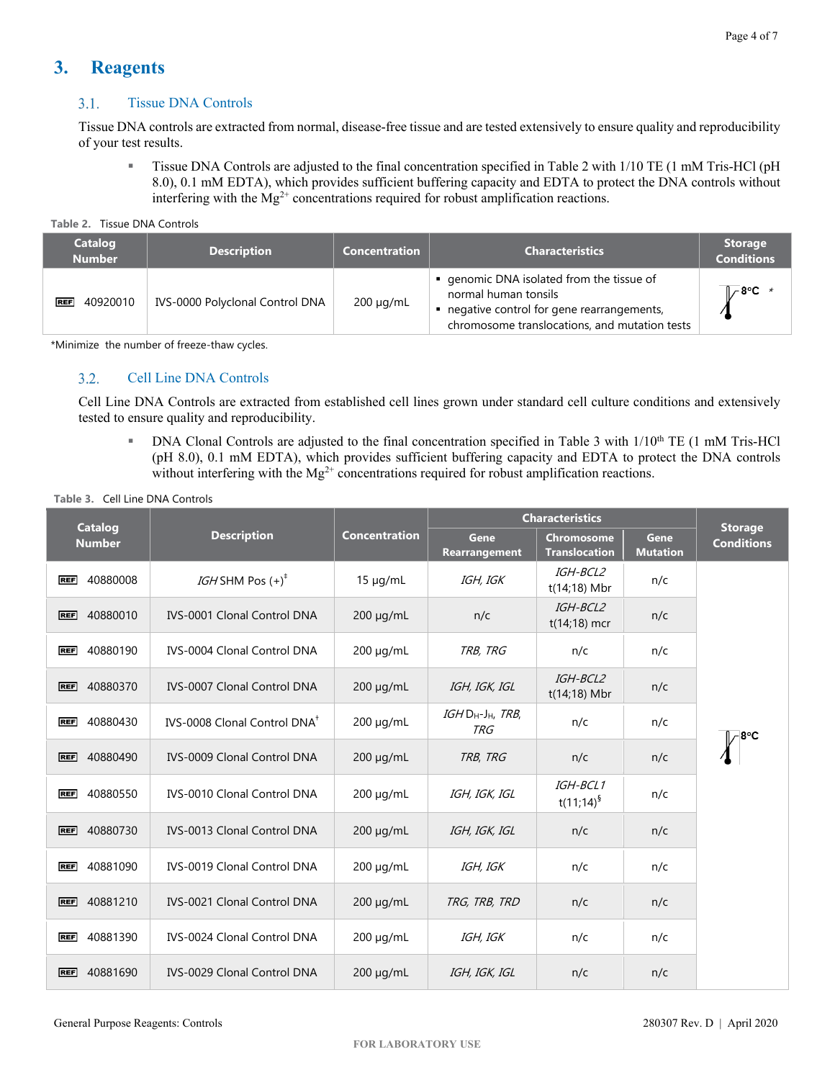# <span id="page-3-1"></span><span id="page-3-0"></span>**3. Reagents**

#### $3.1.$ Tissue DNA Controls

Tissue DNA controls are extracted from normal, disease-free tissue and are tested extensively to ensure quality and reproducibility of your test results.

**Tissue DNA Controls are adjusted to the final concentration specified i[n Table 2](#page-3-3) with 1/10 TE (1 mM Tris-HCl (pH** 8.0), 0.1 mM EDTA), which provides sufficient buffering capacity and EDTA to protect the DNA controls without interfering with the  $Mg^{2+}$  concentrations required for robust amplification reactions.

<span id="page-3-3"></span>

|  | Table 2. Tissue DNA Controls |
|--|------------------------------|
|--|------------------------------|

| <b>Catalog</b><br><b>Number</b> | <b>Description</b>              | <b>Concentration</b> | <b>Characteristics</b>                                                                                                                                          | <b>Storage</b><br><b>Conditions</b> |
|---------------------------------|---------------------------------|----------------------|-----------------------------------------------------------------------------------------------------------------------------------------------------------------|-------------------------------------|
| <b>REF</b><br>40920010          | IVS-0000 Polyclonal Control DNA | $200 \mu g/mL$       | ■ genomic DNA isolated from the tissue of<br>normal human tonsils<br>negative control for gene rearrangements,<br>chromosome translocations, and mutation tests | 1 8°C *                             |

<span id="page-3-2"></span>\*Minimize the number of freeze-thaw cycles.

#### Cell Line DNA Controls  $3.2.$

Cell Line DNA Controls are extracted from established cell lines grown under standard cell culture conditions and extensively tested to ensure quality and reproducibility.

DNA Clonal Controls are adjusted to the final concentration specified in [Table 3](#page-3-4) with  $1/10<sup>th</sup>$  TE (1 mM Tris-HCl (pH 8.0), 0.1 mM EDTA), which provides sufficient buffering capacity and EDTA to protect the DNA controls without interfering with the  $Mg^{2+}$  concentrations required for robust amplification reactions.

<span id="page-3-4"></span>

| Table 3. Cell Line DNA Controls |  |
|---------------------------------|--|
|---------------------------------|--|

| <b>Catalog</b>         |                                          |                      | <b>Characteristics</b>        |                                           |                         | <b>Storage</b>    |
|------------------------|------------------------------------------|----------------------|-------------------------------|-------------------------------------------|-------------------------|-------------------|
| <b>Number</b>          | <b>Description</b>                       | <b>Concentration</b> | Gene<br><b>Rearrangement</b>  | <b>Chromosome</b><br><b>Translocation</b> | Gene<br><b>Mutation</b> | <b>Conditions</b> |
| 40880008<br><b>REF</b> | <i>IGH</i> SHM Pos $(+)^{\dagger}$       | $15 \mu g/mL$        | IGH, IGK                      | IGH-BCL2<br>t(14;18) Mbr                  | n/c                     |                   |
| 40880010<br><b>REF</b> | <b>IVS-0001 Clonal Control DNA</b>       | 200 µg/mL            | n/c                           | IGH-BCL2<br>$t(14;18)$ mcr                | n/c                     |                   |
| 40880190<br><b>REF</b> | <b>IVS-0004 Clonal Control DNA</b>       | $200 \mu g/mL$       | TRB, TRG                      | n/c                                       | n/c                     |                   |
| 40880370<br><b>REF</b> | <b>IVS-0007 Clonal Control DNA</b>       | $200 \mu g/mL$       | IGH, IGK, IGL                 | IGH-BCL2<br>t(14;18) Mbr                  | n/c                     |                   |
| 40880430<br><b>REF</b> | IVS-0008 Clonal Control DNA <sup>+</sup> | $200 \mu q/mL$       | IGH DH-JH, TRB,<br><b>TRG</b> | n/c                                       | n/c                     |                   |
| 40880490<br><b>REF</b> | IVS-0009 Clonal Control DNA              | $200 \mu q/mL$       | TRB, TRG                      | n/c                                       | n/c                     |                   |
| 40880550<br><b>REF</b> | <b>IVS-0010 Clonal Control DNA</b>       | $200 \mu g/mL$       | IGH, IGK, IGL                 | IGH-BCL1<br>$t(11;14)^9$                  | n/c                     |                   |
| 40880730<br><b>REF</b> | <b>IVS-0013 Clonal Control DNA</b>       | $200 \mu g/mL$       | IGH, IGK, IGL                 | n/c                                       | n/c                     |                   |
| 40881090<br><b>REF</b> | <b>IVS-0019 Clonal Control DNA</b>       | $200 \mu q/mL$       | IGH, IGK                      | n/c                                       | n/c                     |                   |
| 40881210<br><b>REF</b> | <b>IVS-0021 Clonal Control DNA</b>       | $200 \mu q/mL$       | TRG, TRB, TRD                 | n/c                                       | n/c                     |                   |
| 40881390<br><b>REF</b> | <b>IVS-0024 Clonal Control DNA</b>       | $200 \mu q/mL$       | IGH, IGK                      | n/c                                       | n/c                     |                   |
| 40881690<br><b>REF</b> | <b>IVS-0029 Clonal Control DNA</b>       | 200 µg/mL            | IGH, IGK, IGL                 | n/c                                       | n/c                     |                   |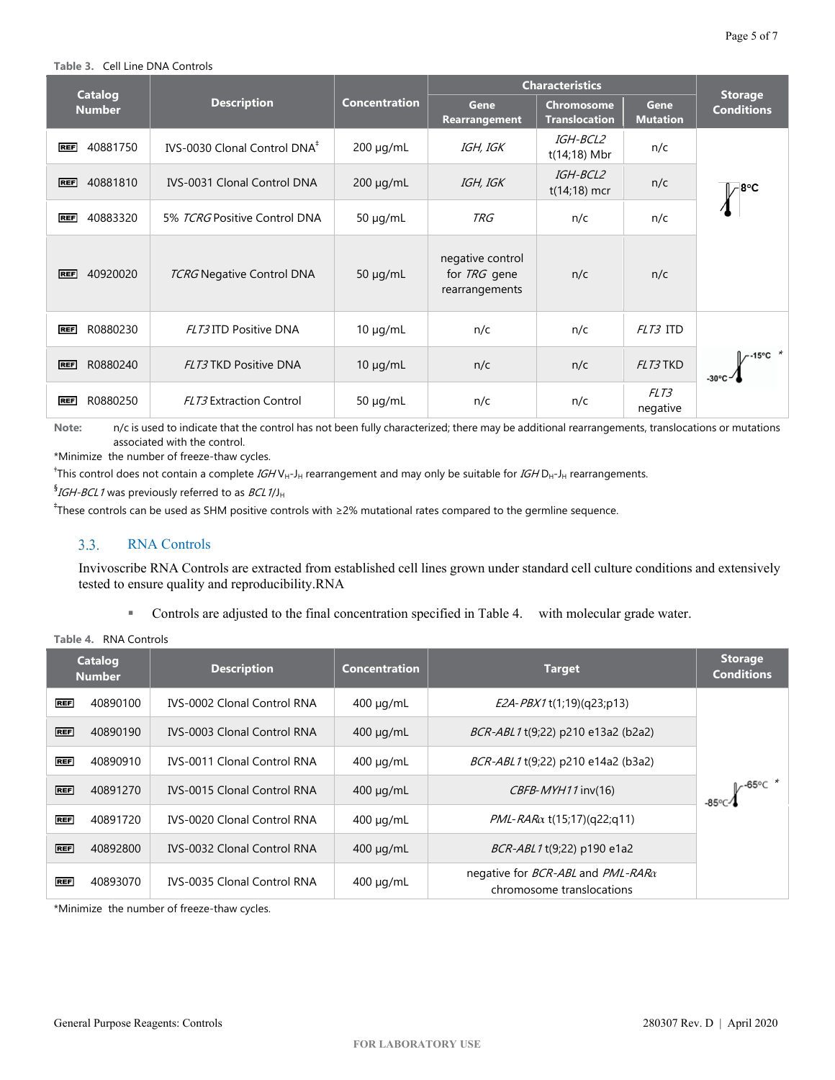#### **Table 3.** Cell Line DNA Controls

| <b>Catalog</b>         |                                          |                      | <b>Characteristics</b>                                    |                                           |                                | <b>Storage</b>                         |
|------------------------|------------------------------------------|----------------------|-----------------------------------------------------------|-------------------------------------------|--------------------------------|----------------------------------------|
| <b>Number</b>          | <b>Description</b>                       | <b>Concentration</b> | Gene<br><b>Rearrangement</b>                              | <b>Chromosome</b><br><b>Translocation</b> | <b>Gene</b><br><b>Mutation</b> | <b>Conditions</b>                      |
| 40881750<br><b>REF</b> | IVS-0030 Clonal Control DNA <sup>#</sup> | $200 \mu g/mL$       | IGH, IGK                                                  | <i><b>IGH-BCL2</b></i><br>$t(14;18)$ Mbr  | n/c                            |                                        |
| 40881810<br><b>REF</b> | <b>IVS-0031 Clonal Control DNA</b>       | $200 \mu g/mL$       | IGH, IGK                                                  | IGH-BCL2<br>$t(14;18)$ mcr                | n/c                            | - 8°C                                  |
| 40883320<br><b>REF</b> | 5% TCRG Positive Control DNA             | $50 \mu g/mL$        | TRG                                                       | n/c                                       | n/c                            |                                        |
| 40920020<br><b>REF</b> | <b>TCRG</b> Negative Control DNA         | $50 \mu q/mL$        | negative control<br>for <i>TRG</i> gene<br>rearrangements | n/c                                       | n/c                            |                                        |
| R0880230<br><b>REF</b> | FLT3 ITD Positive DNA                    | $10 \mu g/mL$        | n/c                                                       | n/c                                       | FLT3 ITD                       |                                        |
| R0880240<br><b>REF</b> | FLT3 TKD Positive DNA                    | $10 \mu g/mL$        | n/c                                                       | n/c                                       | FLT3TKD                        | $-15^{\circ}$ C $*$<br>$-30^{\circ}$ C |
| R0880250<br><b>REF</b> | <b>FLT3</b> Extraction Control           | $50 \mu q/mL$        | n/c                                                       | n/c                                       | FLT3<br>negative               |                                        |

**Note:** n/c is used to indicate that the control has not been fully characterized; there may be additional rearrangements, translocations or mutations associated with the control.

\*Minimize the number of freeze-thaw cycles.

<sup>†</sup>This control does not contain a complete *IGH* V<sub>H</sub>-J<sub>H</sub> rearrangement and may only be suitable for *IGH* D<sub>H</sub>-J<sub>H</sub> rearrangements.

 $^{\S}$ IGH-BCL 1 was previously referred to as BCL 1/J<sub>H</sub>

<span id="page-4-0"></span>‡ These controls can be used as SHM positive controls with ≥2% mutational rates compared to the germline sequence.

#### $3.3.$ RNA Controls

Invivoscribe RNA Controls are extracted from established cell lines grown under standard cell culture conditions and extensively tested to ensure quality and reproducibility.RNA

Controls are adjusted to the final concentration specified i[n Table 4.](#page-4-1) with molecular grade water.

|            | <b>Catalog</b><br><b>Number</b> | <b>Description</b>                 | <b>Concentration</b> | <b>Target</b>                                                                | <b>Storage</b><br><b>Conditions</b> |
|------------|---------------------------------|------------------------------------|----------------------|------------------------------------------------------------------------------|-------------------------------------|
| <b>REF</b> | 40890100                        | <b>IVS-0002 Clonal Control RNA</b> | $400 \mu q/mL$       | <i>E2A-PBX1</i> t(1;19)(q23;p13)                                             |                                     |
| <b>REF</b> | 40890190                        | <b>IVS-0003 Clonal Control RNA</b> | $400 \mu q/mL$       | BCR-ABL1 t(9;22) p210 e13a2 (b2a2)                                           |                                     |
| <b>REF</b> | 40890910                        | <b>IVS-0011 Clonal Control RNA</b> | $400 \mu q/mL$       | BCR-ABL1 t(9;22) p210 e14a2 (b3a2)                                           |                                     |
| <b>REF</b> | 40891270                        | <b>IVS-0015 Clonal Control RNA</b> | $400 \mu q/mL$       | $CBFB$ - $MYH11$ inv(16)                                                     | $V^{-65\degree C}$ *<br>-85°C-      |
| <b>REF</b> | 40891720                        | <b>IVS-0020 Clonal Control RNA</b> | $400 \mu q/mL$       | PML-RARa t(15;17)(q22;q11)                                                   |                                     |
| <b>REF</b> | 40892800                        | <b>IVS-0032 Clonal Control RNA</b> | $400 \mu q/mL$       | <i>BCR-ABL1</i> t(9;22) p190 e1a2                                            |                                     |
| <b>REF</b> | 40893070                        | <b>IVS-0035 Clonal Control RNA</b> | $400 \mu g/mL$       | negative for <i>BCR-ABL</i> and <i>PML-RARa</i><br>chromosome translocations |                                     |

<span id="page-4-1"></span>**Table 4.** RNA Controls

\*Minimize the number of freeze-thaw cycles.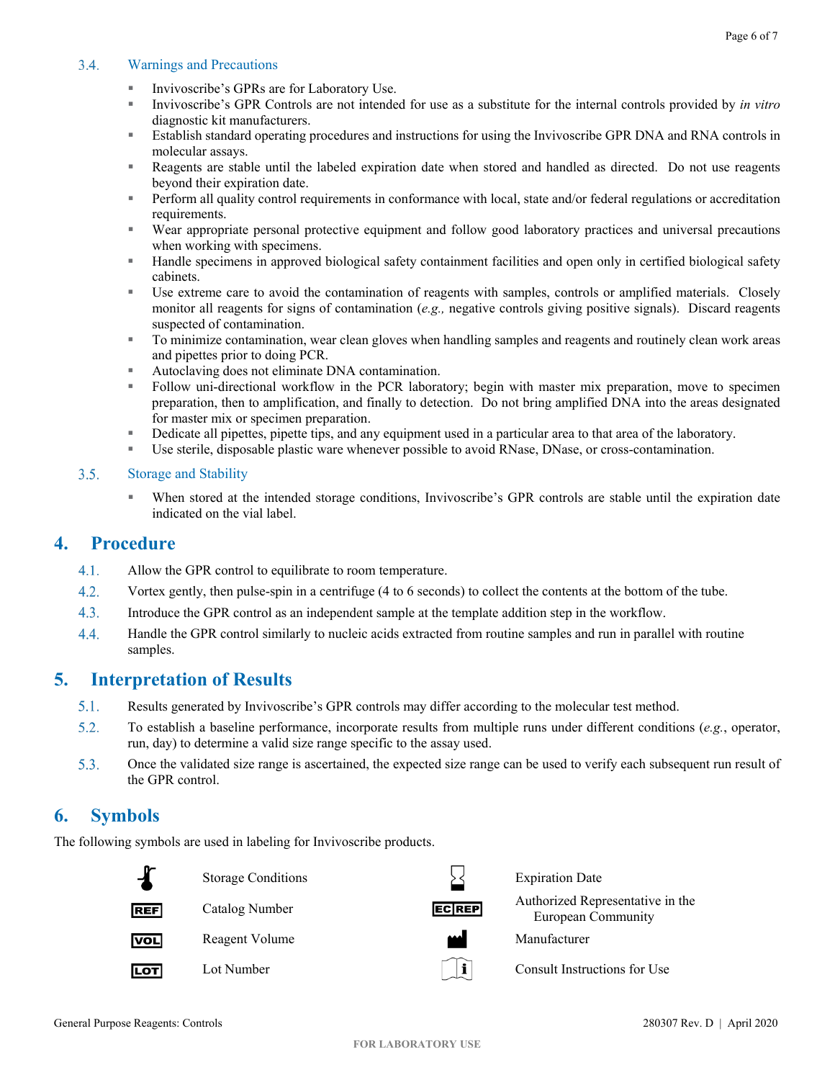#### <span id="page-5-0"></span> $3.4.$ Warnings and Precautions

- Invivoscribe's GPRs are for Laboratory Use.
- Invivoscribe's GPR Controls are not intended for use as a substitute for the internal controls provided by *in vitro* diagnostic kit manufacturers.
- Establish standard operating procedures and instructions for using the Invivoscribe GPR DNA and RNA controls in molecular assays.
- Reagents are stable until the labeled expiration date when stored and handled as directed. Do not use reagents beyond their expiration date.
- **Perform all quality control requirements in conformance with local, state and/or federal regulations or accreditation** requirements.
- Wear appropriate personal protective equipment and follow good laboratory practices and universal precautions when working with specimens.
- Handle specimens in approved biological safety containment facilities and open only in certified biological safety cabinets.
- Use extreme care to avoid the contamination of reagents with samples, controls or amplified materials. Closely monitor all reagents for signs of contamination (*e.g.*, negative controls giving positive signals). Discard reagents suspected of contamination.
- To minimize contamination, wear clean gloves when handling samples and reagents and routinely clean work areas and pipettes prior to doing PCR.
- Autoclaving does not eliminate DNA contamination.
- Follow uni-directional workflow in the PCR laboratory; begin with master mix preparation, move to specimen preparation, then to amplification, and finally to detection. Do not bring amplified DNA into the areas designated for master mix or specimen preparation.
- Dedicate all pipettes, pipette tips, and any equipment used in a particular area to that area of the laboratory.
- Use sterile, disposable plastic ware whenever possible to avoid RNase, DNase, or cross-contamination.

#### <span id="page-5-1"></span> $3.5.$ Storage and Stability

When stored at the intended storage conditions, Invivoscribe's GPR controls are stable until the expiration date indicated on the vial label.

### <span id="page-5-2"></span>**4. Procedure**

- $4.1.$ Allow the GPR control to equilibrate to room temperature.
- $4.2.$ Vortex gently, then pulse-spin in a centrifuge (4 to 6 seconds) to collect the contents at the bottom of the tube.
- $4.3.$ Introduce the GPR control as an independent sample at the template addition step in the workflow.
- 4.4. Handle the GPR control similarly to nucleic acids extracted from routine samples and run in parallel with routine samples.

# <span id="page-5-3"></span>**5. Interpretation of Results**

- $5.1.$ Results generated by Invivoscribe's GPR controls may differ according to the molecular test method.
- $5.2.$ To establish a baseline performance, incorporate results from multiple runs under different conditions (*e.g.*, operator, run, day) to determine a valid size range specific to the assay used.
- $5.3.$ Once the validated size range is ascertained, the expected size range can be used to verify each subsequent run result of the GPR control.

# <span id="page-5-4"></span>**6. Symbols**

The following symbols are used in labeling for Invivoscribe products.